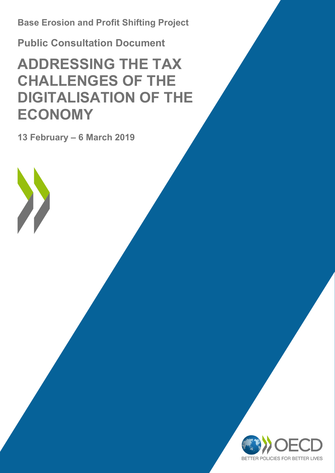**Base Erosion and Profit Shifting Project** 

**Public Consultation Document**

# **ADDRESSING THE TAX CHALLENGES OF THE DIGITALISATION OF THE ECONOMY**

**13 February – 6 March 2019** 



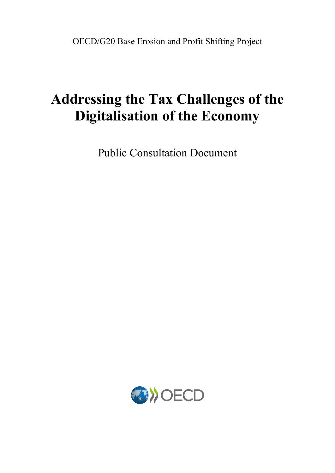OECD/G20 Base Erosion and Profit Shifting Project

# **Addressing the Tax Challenges of the Digitalisation of the Economy**

Public Consultation Document

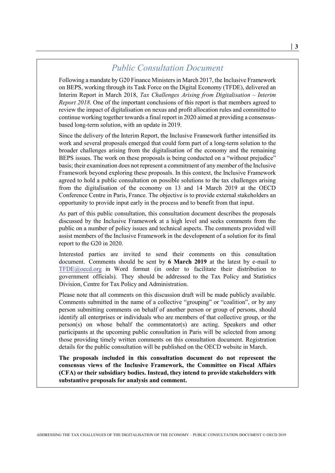### *Public Consultation Document*

Following a mandate by G20 Finance Ministers in March 2017, the Inclusive Framework on BEPS, working through its Task Force on the Digital Economy (TFDE), delivered an Interim Report in March 2018, *Tax Challenges Arising from Digitalisation – Interim Report 2018*. One of the important conclusions of this report is that members agreed to review the impact of digitalisation on nexus and profit allocation rules and committed to continue working together towards a final report in 2020 aimed at providing a consensusbased long-term solution, with an update in 2019.

Since the delivery of the Interim Report, the Inclusive Framework further intensified its work and several proposals emerged that could form part of a long-term solution to the broader challenges arising from the digitalisation of the economy and the remaining BEPS issues. The work on these proposals is being conducted on a "without prejudice" basis; their examination does not represent a commitment of any member of the Inclusive Framework beyond exploring these proposals. In this context, the Inclusive Framework agreed to hold a public consultation on possible solutions to the tax challenges arising from the digitalisation of the economy on 13 and 14 March 2019 at the OECD Conference Centre in Paris, France. The objective is to provide external stakeholders an opportunity to provide input early in the process and to benefit from that input.

As part of this public consultation, this consultation document describes the proposals discussed by the Inclusive Framework at a high level and seeks comments from the public on a number of policy issues and technical aspects. The comments provided will assist members of the Inclusive Framework in the development of a solution for its final report to the G20 in 2020.

Interested parties are invited to send their comments on this consultation document. Comments should be sent by **6 March 2019** at the latest by e-mail to [TFDE@oecd.org](mailto:TFDE@oecd.org) in Word format (in order to facilitate their distribution to government officials). They should be addressed to the Tax Policy and Statistics Division, Centre for Tax Policy and Administration.

Please note that all comments on this discussion draft will be made publicly available. Comments submitted in the name of a collective "grouping" or "coalition", or by any person submitting comments on behalf of another person or group of persons, should identify all enterprises or individuals who are members of that collective group, or the person(s) on whose behalf the commentator(s) are acting. Speakers and other participants at the upcoming public consultation in Paris will be selected from among those providing timely written comments on this consultation document. Registration details for the public consultation will be published on the OECD website in March.

**The proposals included in this consultation document do not represent the consensus views of the Inclusive Framework, the Committee on Fiscal Affairs (CFA) or their subsidiary bodies. Instead, they intend to provide stakeholders with substantive proposals for analysis and comment.**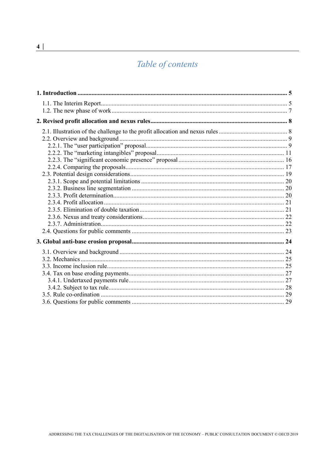## Table of contents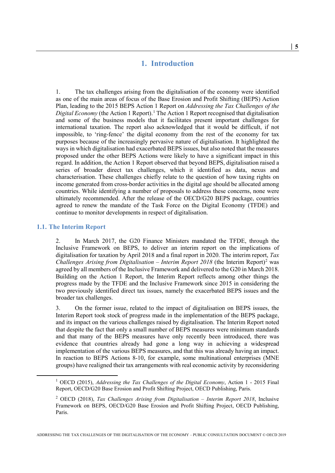#### **1. Introduction**

<span id="page-5-0"></span>1. The tax challenges arising from the digitalisation of the economy were identified as one of the main areas of focus of the Base Erosion and Profit Shifting (BEPS) Action Plan, leading to the 2015 BEPS Action 1 Report on *Addressing the Tax Challenges of the Digital Economy* (the Action [1](#page-5-2) Report).<sup>1</sup> The Action 1 Report recognised that digitalisation and some of the business models that it facilitates present important challenges for international taxation. The report also acknowledged that it would be difficult, if not impossible, to 'ring-fence' the digital economy from the rest of the economy for tax purposes because of the increasingly pervasive nature of digitalisation. It highlighted the ways in which digitalisation had exacerbated BEPS issues, but also noted that the measures proposed under the other BEPS Actions were likely to have a significant impact in this regard. In addition, the Action 1 Report observed that beyond BEPS, digitalisation raised a series of broader direct tax challenges, which it identified as data, nexus and characterisation. These challenges chiefly relate to the question of how taxing rights on income generated from cross-border activities in the digital age should be allocated among countries. While identifying a number of proposals to address these concerns, none were ultimately recommended. After the release of the OECD/G20 BEPS package, countries agreed to renew the mandate of the Task Force on the Digital Economy (TFDE) and continue to monitor developments in respect of digitalisation.

#### <span id="page-5-1"></span>**1.1. The Interim Report**

2. In March 2017, the G20 Finance Ministers mandated the TFDE, through the Inclusive Framework on BEPS, to deliver an interim report on the implications of digitalisation for taxation by April 2018 and a final report in 2020. The interim report, *Tax Challenges Arising from Digitalisation – Interim Report [2](#page-5-3)018* (the Interim Report)<sup>2</sup> was agreed by all members of the Inclusive Framework and delivered to the G20 in March 2018. Building on the Action 1 Report, the Interim Report reflects among other things the progress made by the TFDE and the Inclusive Framework since 2015 in considering the two previously identified direct tax issues, namely the exacerbated BEPS issues and the broader tax challenges.

3. On the former issue, related to the impact of digitalisation on BEPS issues, the Interim Report took stock of progress made in the implementation of the BEPS package, and its impact on the various challenges raised by digitalisation. The Interim Report noted that despite the fact that only a small number of BEPS measures were minimum standards and that many of the BEPS measures have only recently been introduced, there was evidence that countries already had gone a long way in achieving a widespread implementation of the various BEPS measures, and that this was already having an impact. In reaction to BEPS Actions 8-10, for example, some multinational enterprises (MNE groups) have realigned their tax arrangements with real economic activity by reconsidering

<span id="page-5-3"></span>ADDRESSING THE TAX CHALLENGES OF THE DIGITALISATION OF THE ECONOMY – PUBLIC CONSULTATION DOCUMENT © OECD 2019

<span id="page-5-2"></span> <sup>1</sup> OECD (2015), *Addressing the Tax Challenges of the Digital Economy*, Action 1 - 2015 Final Report, OECD/G20 Base Erosion and Profit Shifting Project, OECD Publishing, Paris.

<sup>2</sup> OECD (2018), *Tax Challenges Arising from Digitalisation – Interim Report 2018*, Inclusive Framework on BEPS, OECD/G20 Base Erosion and Profit Shifting Project, OECD Publishing, Paris.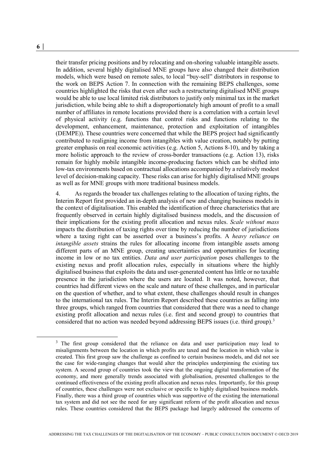their transfer pricing positions and by relocating and on-shoring valuable intangible assets. In addition, several highly digitalised MNE groups have also changed their distribution models, which were based on remote sales, to local "buy-sell" distributors in response to the work on BEPS Action 7. In connection with the remaining BEPS challenges, some countries highlighted the risks that even after such a restructuring digitalised MNE groups would be able to use local limited risk distributors to justify only minimal tax in the market jurisdiction, while being able to shift a disproportionately high amount of profit to a small number of affiliates in remote locations provided there is a correlation with a certain level of physical activity (e.g. functions that control risks and functions relating to the development, enhancement, maintenance, protection and exploitation of intangibles (DEMPE)). These countries were concerned that while the BEPS project had significantly contributed to realigning income from intangibles with value creation, notably by putting greater emphasis on real economic activities (e.g. Action 5, Actions 8-10), and by taking a more holistic approach to the review of cross-border transactions (e.g. Action 13), risks remain for highly mobile intangible income-producing factors which can be shifted into low-tax environments based on contractual allocations accompanied by a relatively modest level of decision-making capacity. These risks can arise for highly digitalised MNE groups as well as for MNE groups with more traditional business models.

4. As regards the broader tax challenges relating to the allocation of taxing rights, the Interim Report first provided an in-depth analysis of new and changing business models in the context of digitalisation. This enabled the identification of three characteristics that are frequently observed in certain highly digitalised business models, and the discussion of their implications for the existing profit allocation and nexus rules. *Scale without mass* impacts the distribution of taxing rights over time by reducing the number of jurisdictions where a taxing right can be asserted over a business's profits. A *heavy reliance on intangible assets* strains the rules for allocating income from intangible assets among different parts of an MNE group, creating uncertainties and opportunities for locating income in low or no tax entities. *Data and user participation* poses challenges to the existing nexus and profit allocation rules, especially in situations where the highly digitalised business that exploits the data and user-generated content has little or no taxable presence in the jurisdiction where the users are located. It was noted, however, that countries had different views on the scale and nature of these challenges, and in particular on the question of whether, and to what extent, these challenges should result in changes to the international tax rules. The Interim Report described these countries as falling into three groups, which ranged from countries that considered that there was a need to change existing profit allocation and nexus rules (i.e. first and second group) to countries that considered that no action was needed beyond addressing BEPS issues (i.e. third group).<sup>[3](#page-6-0)</sup>

<span id="page-6-0"></span><sup>&</sup>lt;sup>3</sup> The first group considered that the reliance on data and user participation may lead to misalignments between the location in which profits are taxed and the location in which value is created. This first group saw the challenge as confined to certain business models, and did not see the case for wide-ranging changes that would alter the principles underpinning the existing tax system. A second group of countries took the view that the ongoing digital transformation of the economy, and more generally trends associated with globalisation, presented challenges to the continued effectiveness of the existing profit allocation and nexus rules. Importantly, for this group of countries, these challenges were not exclusive or specific to highly digitalised business models. Finally, there was a third group of countries which was supportive of the existing the international tax system and did not see the need for any significant reform of the profit allocation and nexus rules. These countries considered that the BEPS package had largely addressed the concerns of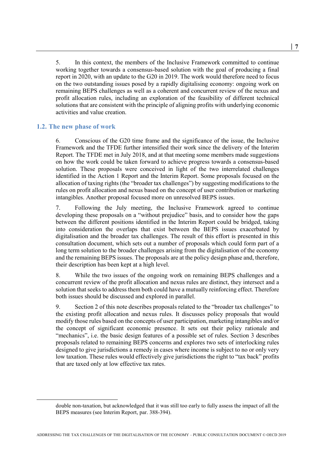5. In this context, the members of the Inclusive Framework committed to continue working together towards a consensus-based solution with the goal of producing a final report in 2020, with an update to the G20 in 2019. The work would therefore need to focus on the two outstanding issues posed by a rapidly digitalising economy: ongoing work on remaining BEPS challenges as well as a coherent and concurrent review of the nexus and profit allocation rules, including an exploration of the feasibility of different technical solutions that are consistent with the principle of aligning profits with underlying economic activities and value creation.

#### <span id="page-7-0"></span>**1.2. The new phase of work**

 $\overline{a}$ 

6. Conscious of the G20 time frame and the significance of the issue, the Inclusive Framework and the TFDE further intensified their work since the delivery of the Interim Report. The TFDE met in July 2018, and at that meeting some members made suggestions on how the work could be taken forward to achieve progress towards a consensus-based solution. These proposals were conceived in light of the two interrelated challenges identified in the Action 1 Report and the Interim Report. Some proposals focused on the allocation of taxing rights (the "broader tax challenges") by suggesting modifications to the rules on profit allocation and nexus based on the concept of user contribution or marketing intangibles. Another proposal focused more on unresolved BEPS issues.

7. Following the July meeting, the Inclusive Framework agreed to continue developing these proposals on a "without prejudice" basis, and to consider how the gaps between the different positions identified in the Interim Report could be bridged, taking into consideration the overlaps that exist between the BEPS issues exacerbated by digitalisation and the broader tax challenges. The result of this effort is presented in this consultation document, which sets out a number of proposals which could form part of a long term solution to the broader challenges arising from the digitalisation of the economy and the remaining BEPS issues. The proposals are at the policy design phase and, therefore, their description has been kept at a high level.

8. While the two issues of the ongoing work on remaining BEPS challenges and a concurrent review of the profit allocation and nexus rules are distinct, they intersect and a solution that seeks to address them both could have a mutually reinforcing effect. Therefore both issues should be discussed and explored in parallel.

9. Section 2 of this note describes proposals related to the "broader tax challenges" to the existing profit allocation and nexus rules. It discusses policy proposals that would modify those rules based on the concepts of user participation, marketing intangibles and/or the concept of significant economic presence. It sets out their policy rationale and "mechanics", i.e. the basic design features of a possible set of rules. Section 3 describes proposals related to remaining BEPS concerns and explores two sets of interlocking rules designed to give jurisdictions a remedy in cases where income is subject to no or only very low taxation. These rules would effectively give jurisdictions the right to "tax back" profits that are taxed only at low effective tax rates.

**│ 7**

double non-taxation, but acknowledged that it was still too early to fully assess the impact of all the BEPS measures (see Interim Report, par. 388-394).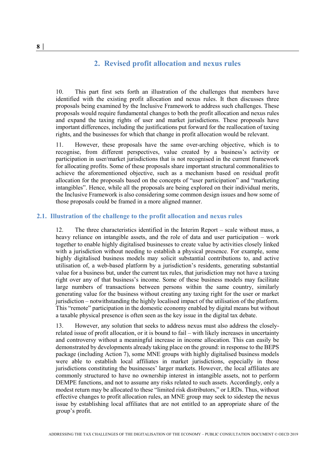### **2. Revised profit allocation and nexus rules**

<span id="page-8-0"></span>10. This part first sets forth an illustration of the challenges that members have identified with the existing profit allocation and nexus rules. It then discusses three proposals being examined by the Inclusive Framework to address such challenges. These proposals would require fundamental changes to both the profit allocation and nexus rules and expand the taxing rights of user and market jurisdictions. These proposals have important differences, including the justifications put forward for the reallocation of taxing rights, and the businesses for which that change in profit allocation would be relevant.

11. However, these proposals have the same over-arching objective, which is to recognise, from different perspectives, value created by a business's activity or participation in user/market jurisdictions that is not recognised in the current framework for allocating profits. Some of these proposals share important structural commonalities to achieve the aforementioned objective, such as a mechanism based on residual profit allocation for the proposals based on the concepts of "user participation" and "marketing intangibles". Hence, while all the proposals are being explored on their individual merits, the Inclusive Framework is also considering some common design issues and how some of those proposals could be framed in a more aligned manner.

#### <span id="page-8-1"></span>**2.1. Illustration of the challenge to the profit allocation and nexus rules**

12. The three characteristics identified in the Interim Report – scale without mass, a heavy reliance on intangible assets, and the role of data and user participation – work together to enable highly digitalised businesses to create value by activities closely linked with a jurisdiction without needing to establish a physical presence. For example, some highly digitalised business models may solicit substantial contributions to, and active utilisation of, a web-based platform by a jurisdiction's residents, generating substantial value for a business but, under the current tax rules, that jurisdiction may not have a taxing right over any of that business's income. Some of these business models may facilitate large numbers of transactions between persons within the same country, similarly generating value for the business without creating any taxing right for the user or market jurisdiction – notwithstanding the highly localised impact of the utilisation of the platform. This "remote" participation in the domestic economy enabled by digital means but without a taxable physical presence is often seen as the key issue in the digital tax debate.

13. However, any solution that seeks to address nexus must also address the closelyrelated issue of profit allocation, or it is bound to fail – with likely increases in uncertainty and controversy without a meaningful increase in income allocation. This can easily be demonstrated by developments already taking place on the ground: in response to the BEPS package (including Action 7), some MNE groups with highly digitalised business models were able to establish local affiliates in market jurisdictions, especially in those jurisdictions constituting the businesses' larger markets. However, the local affiliates are commonly structured to have no ownership interest in intangible assets, not to perform DEMPE functions, and not to assume any risks related to such assets. Accordingly, only a modest return may be allocated to these "limited risk distributors," or LRDs. Thus, without effective changes to profit allocation rules, an MNE group may seek to sidestep the nexus issue by establishing local affiliates that are not entitled to an appropriate share of the group's profit.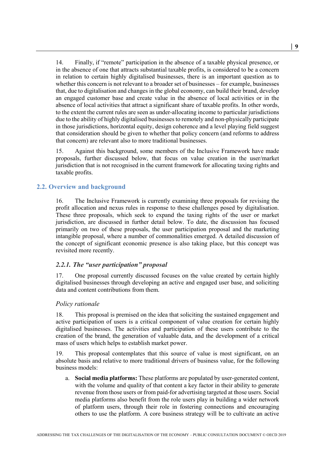14. Finally, if "remote" participation in the absence of a taxable physical presence, or in the absence of one that attracts substantial taxable profits, is considered to be a concern in relation to certain highly digitalised businesses, there is an important question as to whether this concern is not relevant to a broader set of businesses – for example, businesses that, due to digitalisation and changes in the global economy, can build their brand, develop an engaged customer base and create value in the absence of local activities or in the absence of local activities that attract a significant share of taxable profits. In other words, to the extent the current rules are seen as under-allocating income to particular jurisdictions due to the ability of highly digitalised businesses to remotely and non-physically participate in those jurisdictions, horizontal equity, design coherence and a level playing field suggest that consideration should be given to whether that policy concern (and reforms to address that concern) are relevant also to more traditional businesses.

15. Against this background, some members of the Inclusive Framework have made proposals, further discussed below, that focus on value creation in the user/market jurisdiction that is not recognised in the current framework for allocating taxing rights and taxable profits.

#### <span id="page-9-0"></span>**2.2. Overview and background**

16. The Inclusive Framework is currently examining three proposals for revising the profit allocation and nexus rules in response to these challenges posed by digitalisation. These three proposals, which seek to expand the taxing rights of the user or market jurisdiction, are discussed in further detail below. To date, the discussion has focused primarily on two of these proposals, the user participation proposal and the marketing intangible proposal, where a number of commonalities emerged. A detailed discussion of the concept of significant economic presence is also taking place, but this concept was revisited more recently.

#### <span id="page-9-1"></span>*2.2.1. The "user participation" proposal*

17. One proposal currently discussed focuses on the value created by certain highly digitalised businesses through developing an active and engaged user base, and soliciting data and content contributions from them.

#### *Policy rationale*

18. This proposal is premised on the idea that soliciting the sustained engagement and active participation of users is a critical component of value creation for certain highly digitalised businesses. The activities and participation of these users contribute to the creation of the brand, the generation of valuable data, and the development of a critical mass of users which helps to establish market power.

19. This proposal contemplates that this source of value is most significant, on an absolute basis and relative to more traditional drivers of business value, for the following business models:

a. **Social media platforms:** These platforms are populated by user-generated content, with the volume and quality of that content a key factor in their ability to generate revenue from those users or from paid-for advertising targeted at those users. Social media platforms also benefit from the role users play in building a wider network of platform users, through their role in fostering connections and encouraging others to use the platform. A core business strategy will be to cultivate an active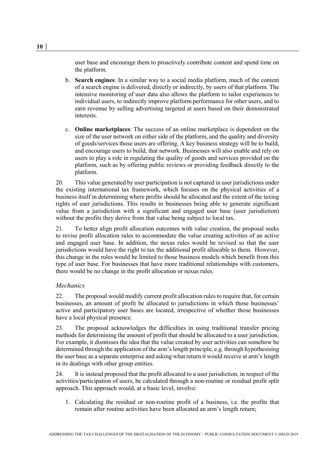user base and encourage them to proactively contribute content and spend time on the platform.

- b. **Search engines**: In a similar way to a social media platform, much of the content of a search engine is delivered, directly or indirectly, by users of that platform. The intensive monitoring of user data also allows the platform to tailor experiences to individual users, to indirectly improve platform performance for other users, and to earn revenue by selling advertising targeted at users based on their demonstrated interests.
- c. **Online marketplaces**: The success of an online marketplace is dependent on the size of the user network on either side of the platform, and the quality and diversity of goods/services those users are offering. A key business strategy will be to build, and encourage users to build, that network. Businesses will also enable and rely on users to play a role in regulating the quality of goods and services provided on the platform, such as by offering public reviews or providing feedback directly to the platform.

20. This value generated by user participation is not captured in user jurisdictions under the existing international tax framework, which focuses on the physical activities of a business itself in determining where profits should be allocated and the extent of the taxing rights of user jurisdictions. This results in businesses being able to generate significant value from a jurisdiction with a significant and engaged user base (user jurisdiction) without the profits they derive from that value being subject to local tax.

21. To better align profit allocation outcomes with value creation, the proposal seeks to revise profit allocation rules to accommodate the value creating activities of an active and engaged user base. In addition, the nexus rules would be revised so that the user jurisdictions would have the right to tax the additional profit allocable to them. However, this change in the rules would be limited to those business models which benefit from this type of user base. For businesses that have more traditional relationships with customers, there would be no change in the profit allocation or nexus rules.

#### *Mechanics*

22. The proposal would modify current profit allocation rules to require that, for certain businesses, an amount of profit be allocated to jurisdictions in which those businesses' active and participatory user bases are located, irrespective of whether those businesses have a local physical presence.

23. The proposal acknowledges the difficulties in using traditional transfer pricing methods for determining the amount of profit that should be allocated to a user jurisdiction. For example, it dismisses the idea that the value created by user activities can somehow be determined through the application of the arm's length principle, e.g. through hypothesising the user base as a separate enterprise and asking what return it would receive at arm's length in its dealings with other group entities.

24. It is instead proposed that the profit allocated to a user jurisdiction, in respect of the activities/participation of users, be calculated through a non-routine or residual profit split approach. This approach would, at a basic level, involve:

1. Calculating the residual or non-routine profit of a business, i.e. the profits that remain after routine activities have been allocated an arm's length return;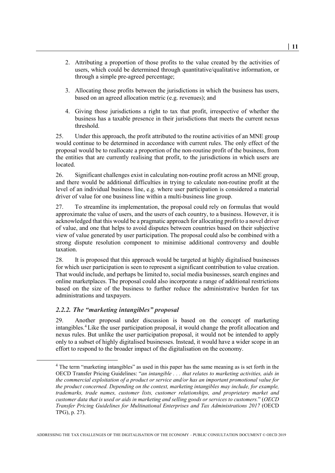- 2. Attributing a proportion of those profits to the value created by the activities of users, which could be determined through quantitative/qualitative information, or through a simple pre-agreed percentage;
- 3. Allocating those profits between the jurisdictions in which the business has users, based on an agreed allocation metric (e.g. revenues); and
- 4. Giving those jurisdictions a right to tax that profit, irrespective of whether the business has a taxable presence in their jurisdictions that meets the current nexus threshold.

25. Under this approach, the profit attributed to the routine activities of an MNE group would continue to be determined in accordance with current rules. The only effect of the proposal would be to reallocate a proportion of the non-routine profit of the business, from the entities that are currently realising that profit, to the jurisdictions in which users are located.

26. Significant challenges exist in calculating non-routine profit across an MNE group, and there would be additional difficulties in trying to calculate non-routine profit at the level of an individual business line, e.g. where user participation is considered a material driver of value for one business line within a multi-business line group.

27. To streamline its implementation, the proposal could rely on formulas that would approximate the value of users, and the users of each country, to a business. However, it is acknowledged that this would be a pragmatic approach for allocating profit to a novel driver of value, and one that helps to avoid disputes between countries based on their subjective view of value generated by user participation. The proposal could also be combined with a strong dispute resolution component to minimise additional controversy and double taxation.

28. It is proposed that this approach would be targeted at highly digitalised businesses for which user participation is seen to represent a significant contribution to value creation. That would include, and perhaps be limited to, social media businesses, search engines and online marketplaces. The proposal could also incorporate a range of additional restrictions based on the size of the business to further reduce the administrative burden for tax administrations and taxpayers.

#### <span id="page-11-0"></span>*2.2.2. The "marketing intangibles" proposal*

29. Another proposal under discussion is based on the concept of marketing intangibles.[4](#page-11-1) Like the user participation proposal, it would change the profit allocation and nexus rules. But unlike the user participation proposal, it would not be intended to apply only to a subset of highly digitalised businesses. Instead, it would have a wider scope in an effort to respond to the broader impact of the digitalisation on the economy.

<span id="page-11-1"></span><sup>&</sup>lt;sup>4</sup> The term "marketing intangibles" as used in this paper has the same meaning as is set forth in the OECD Transfer Pricing Guidelines: "*an intangible . . . that relates to marketing activities, aids in the commercial exploitation of a product or service and/or has an important promotional value for the product concerned. Depending on the context, marketing intangibles may include, for example, trademarks, trade names, customer lists, customer relationships, and proprietary market and customer data that is used or aids in marketing and selling goods or services to customers.*" (*OECD Transfer Pricing Guidelines for Multinational Enterprises and Tax Administrations 2017* (OECD TPG), p. 27).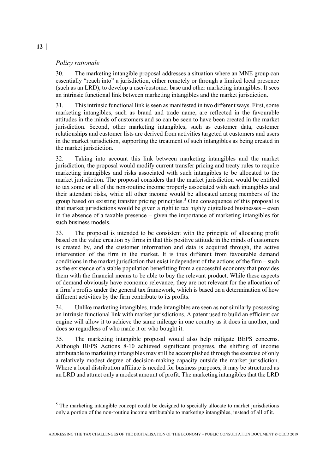#### *Policy rationale*

30. The marketing intangible proposal addresses a situation where an MNE group can essentially "reach into" a jurisdiction, either remotely or through a limited local presence (such as an LRD), to develop a user/customer base and other marketing intangibles. It sees an intrinsic functional link between marketing intangibles and the market jurisdiction.

31. This intrinsic functional link is seen as manifested in two different ways. First, some marketing intangibles, such as brand and trade name, are reflected in the favourable attitudes in the minds of customers and so can be seen to have been created in the market jurisdiction. Second, other marketing intangibles, such as customer data, customer relationships and customer lists are derived from activities targeted at customers and users in the market jurisdiction, supporting the treatment of such intangibles as being created in the market jurisdiction.

32. Taking into account this link between marketing intangibles and the market jurisdiction, the proposal would modify current transfer pricing and treaty rules to require marketing intangibles and risks associated with such intangibles to be allocated to the market jurisdiction. The proposal considers that the market jurisdiction would be entitled to tax some or all of the non-routine income properly associated with such intangibles and their attendant risks, while all other income would be allocated among members of the group based on existing transfer pricing principles.<sup>[5](#page-12-0)</sup> One consequence of this proposal is that market jurisdictions would be given a right to tax highly digitalised businesses – even in the absence of a taxable presence – given the importance of marketing intangibles for such business models.

33. The proposal is intended to be consistent with the principle of allocating profit based on the value creation by firms in that this positive attitude in the minds of customers is created by, and the customer information and data is acquired through, the active intervention of the firm in the market. It is thus different from favourable demand conditions in the market jurisdiction that exist independent of the actions of the firm – such as the existence of a stable population benefitting from a successful economy that provides them with the financial means to be able to buy the relevant product. While these aspects of demand obviously have economic relevance, they are not relevant for the allocation of a firm's profits under the general tax framework, which is based on a determination of how different activities by the firm contribute to its profits.

34. Unlike marketing intangibles, trade intangibles are seen as not similarly possessing an intrinsic functional link with market jurisdictions. A patent used to build an efficient car engine will allow it to achieve the same mileage in one country as it does in another, and does so regardless of who made it or who bought it.

35. The marketing intangible proposal would also help mitigate BEPS concerns. Although BEPS Actions 8-10 achieved significant progress, the shifting of income attributable to marketing intangibles may still be accomplished through the exercise of only a relatively modest degree of decision-making capacity outside the market jurisdiction. Where a local distribution affiliate is needed for business purposes, it may be structured as an LRD and attract only a modest amount of profit. The marketing intangibles that the LRD

<span id="page-12-0"></span> $<sup>5</sup>$  The marketing intangible concept could be designed to specially allocate to market jurisdictions</sup> only a portion of the non-routine income attributable to marketing intangibles, instead of all of it.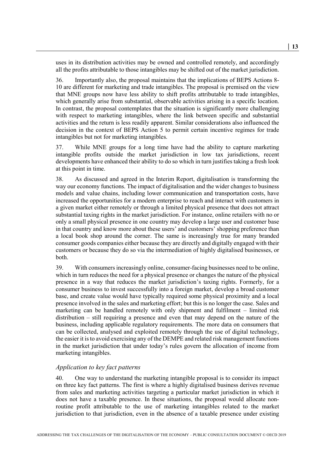uses in its distribution activities may be owned and controlled remotely, and accordingly all the profits attributable to those intangibles may be shifted out of the market jurisdiction.

36. Importantly also, the proposal maintains that the implications of BEPS Actions 8- 10 are different for marketing and trade intangibles. The proposal is premised on the view that MNE groups now have less ability to shift profits attributable to trade intangibles, which generally arise from substantial, observable activities arising in a specific location. In contrast, the proposal contemplates that the situation is significantly more challenging with respect to marketing intangibles, where the link between specific and substantial activities and the return is less readily apparent. Similar considerations also influenced the decision in the context of BEPS Action 5 to permit certain incentive regimes for trade intangibles but not for marketing intangibles.

37. While MNE groups for a long time have had the ability to capture marketing intangible profits outside the market jurisdiction in low tax jurisdictions, recent developments have enhanced their ability to do so which in turn justifies taking a fresh look at this point in time.

38. As discussed and agreed in the Interim Report, digitalisation is transforming the way our economy functions. The impact of digitalisation and the wider changes to business models and value chains, including lower communication and transportation costs, have increased the opportunities for a modern enterprise to reach and interact with customers in a given market either remotely or through a limited physical presence that does not attract substantial taxing rights in the market jurisdiction. For instance, online retailers with no or only a small physical presence in one country may develop a large user and customer base in that country and know more about these users' and customers' shopping preference than a local book shop around the corner. The same is increasingly true for many branded consumer goods companies either because they are directly and digitally engaged with their customers or because they do so via the intermediation of highly digitalised businesses, or both.

39. With consumers increasingly online, consumer-facing businesses need to be online, which in turn reduces the need for a physical presence or changes the nature of the physical presence in a way that reduces the market jurisdiction's taxing rights. Formerly, for a consumer business to invest successfully into a foreign market, develop a broad customer base, and create value would have typically required some physical proximity and a local presence involved in the sales and marketing effort; but this is no longer the case. Sales and marketing can be handled remotely with only shipment and fulfilment – limited risk distribution – still requiring a presence and even that may depend on the nature of the business, including applicable regulatory requirements. The more data on consumers that can be collected, analysed and exploited remotely through the use of digital technology, the easier it is to avoid exercising any of the DEMPE and related risk management functions in the market jurisdiction that under today's rules govern the allocation of income from marketing intangibles.

#### *Application to key fact patterns*

40. One way to understand the marketing intangible proposal is to consider its impact on three key fact patterns. The first is where a highly digitalised business derives revenue from sales and marketing activities targeting a particular market jurisdiction in which it does not have a taxable presence. In these situations, the proposal would allocate nonroutine profit attributable to the use of marketing intangibles related to the market jurisdiction to that jurisdiction, even in the absence of a taxable presence under existing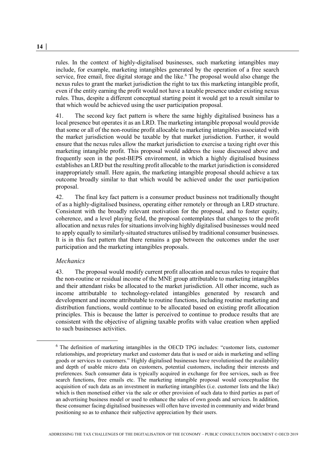rules. In the context of highly-digitalised businesses, such marketing intangibles may include, for example, marketing intangibles generated by the operation of a free search service, free email, free digital storage and the like.<sup>[6](#page-14-0)</sup> The proposal would also change the nexus rules to grant the market jurisdiction the right to tax this marketing intangible profit, even if the entity earning the profit would not have a taxable presence under existing nexus rules. Thus, despite a different conceptual starting point it would get to a result similar to that which would be achieved using the user participation proposal.

41. The second key fact pattern is where the same highly digitalised business has a local presence but operates it as an LRD. The marketing intangible proposal would provide that some or all of the non-routine profit allocable to marketing intangibles associated with the market jurisdiction would be taxable by that market jurisdiction. Further, it would ensure that the nexus rules allow the market jurisdiction to exercise a taxing right over this marketing intangible profit. This proposal would address the issue discussed above and frequently seen in the post-BEPS environment, in which a highly digitalised business establishes an LRD but the resulting profit allocable to the market jurisdiction is considered inappropriately small. Here again, the marketing intangible proposal should achieve a tax outcome broadly similar to that which would be achieved under the user participation proposal.

42. The final key fact pattern is a consumer product business not traditionally thought of as a highly-digitalised business, operating either remotely or through an LRD structure. Consistent with the broadly relevant motivation for the proposal, and to foster equity, coherence, and a level playing field, the proposal contemplates that changes to the profit allocation and nexus rules for situations involving highly digitalised businesses would need to apply equally to similarly-situated structures utilised by traditional consumer businesses. It is in this fact pattern that there remains a gap between the outcomes under the user participation and the marketing intangibles proposals.

#### *Mechanics*

43. The proposal would modify current profit allocation and nexus rules to require that the non-routine or residual income of the MNE group attributable to marketing intangibles and their attendant risks be allocated to the market jurisdiction. All other income, such as income attributable to technology-related intangibles generated by research and development and income attributable to routine functions, including routine marketing and distribution functions, would continue to be allocated based on existing profit allocation principles. This is because the latter is perceived to continue to produce results that are consistent with the objective of aligning taxable profits with value creation when applied to such businesses activities.

<span id="page-14-0"></span> <sup>6</sup> The definition of marketing intangibles in the OECD TPG includes: "customer lists, customer relationships, and proprietary market and customer data that is used or aids in marketing and selling goods or services to customers." Highly digitalised businesses have revolutionised the availability and depth of usable micro data on customers, potential customers, including their interests and preferences. Such consumer data is typically acquired in exchange for free services, such as free search functions, free emails etc. The marketing intangible proposal would conceptualise the acquisition of such data as an investment in marketing intangibles (i.e. customer lists and the like) which is then monetised either via the sale or other provision of such data to third parties as part of an advertising business model or used to enhance the sales of own goods and services. In addition, these consumer facing digitalised businesses will often have invested in community and wider brand positioning so as to enhance their subjective appreciation by their users.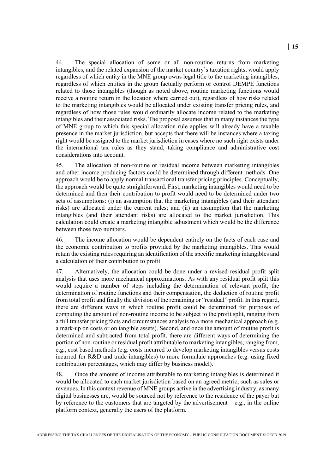44. The special allocation of some or all non-routine returns from marketing intangibles, and the related expansion of the market country's taxation rights, would apply regardless of which entity in the MNE group owns legal title to the marketing intangibles, regardless of which entities in the group factually perform or control DEMPE functions related to those intangibles (though as noted above, routine marketing functions would receive a routine return in the location where carried out), regardless of how risks related to the marketing intangibles would be allocated under existing transfer pricing rules, and regardless of how those rules would ordinarily allocate income related to the marketing intangibles and their associated risks. The proposal assumes that in many instances the type of MNE group to which this special allocation rule applies will already have a taxable presence in the market jurisdiction, but accepts that there will be instances where a taxing right would be assigned to the market jurisdiction in cases where no such right exists under the international tax rules as they stand, taking compliance and administrative cost considerations into account.

45. The allocation of non-routine or residual income between marketing intangibles and other income producing factors could be determined through different methods. One approach would be to apply normal transactional transfer pricing principles. Conceptually, the approach would be quite straightforward. First, marketing intangibles would need to be determined and then their contribution to profit would need to be determined under two sets of assumptions: (i) an assumption that the marketing intangibles (and their attendant risks) are allocated under the current rules; and (ii) an assumption that the marketing intangibles (and their attendant risks) are allocated to the market jurisdiction. This calculation could create a marketing intangible adjustment which would be the difference between those two numbers.

46. The income allocation would be dependent entirely on the facts of each case and the economic contribution to profits provided by the marketing intangibles. This would retain the existing rules requiring an identification of the specific marketing intangibles and a calculation of their contribution to profit.

47. Alternatively, the allocation could be done under a revised residual profit split analysis that uses more mechanical approximations. As with any residual profit split this would require a number of steps including the determination of relevant profit, the determination of routine functions and their compensation, the deduction of routine profit from total profit and finally the division of the remaining or "residual" profit. In this regard, there are different ways in which routine profit could be determined for purposes of computing the amount of non-routine income to be subject to the profit split, ranging from a full transfer pricing facts and circumstances analysis to a more mechanical approach (e.g. a mark-up on costs or on tangible assets). Second, and once the amount of routine profit is determined and subtracted from total profit, there are different ways of determining the portion of non-routine or residual profit attributable to marketing intangibles, ranging from, e.g., cost based methods (e.g. costs incurred to develop marketing intangibles versus costs incurred for R&D and trade intangibles) to more formulaic approaches (e.g. using fixed contribution percentages, which may differ by business model).

48. Once the amount of income attributable to marketing intangibles is determined it would be allocated to each market jurisdiction based on an agreed metric, such as sales or revenues. In this context revenue of MNE groups active in the advertising industry, as many digital businesses are, would be sourced not by reference to the residence of the payer but by reference to the customers that are targeted by the advertisement  $-e.g.,$  in the online platform context, generally the users of the platform.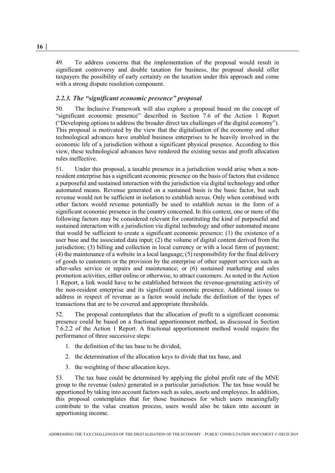49. To address concerns that the implementation of the proposal would result in significant controversy and double taxation for business, the proposal should offer taxpayers the possibility of early certainty on the taxation under this approach and come with a strong dispute resolution component.

#### <span id="page-16-0"></span>*2.2.3. The "significant economic presence" proposal*

50. The Inclusive Framework will also explore a proposal based on the concept of "significant economic presence" described in Section 7.6 of the Action 1 Report ("Developing options to address the broader direct tax challenges of the digital economy"). This proposal is motivated by the view that the digitalisation of the economy and other technological advances have enabled business enterprises to be heavily involved in the economic life of a jurisdiction without a significant physical presence. According to this view, these technological advances have rendered the existing nexus and profit allocation rules ineffective.

51. Under this proposal, a taxable presence in a jurisdiction would arise when a nonresident enterprise has a significant economic presence on the basis of factors that evidence a purposeful and sustained interaction with the jurisdiction via digital technology and other automated means. Revenue generated on a sustained basis is the basic factor, but such revenue would not be sufficient in isolation to establish nexus. Only when combined with other factors would revenue potentially be used to establish nexus in the form of a significant economic presence in the country concerned. In this context, one or more of the following factors may be considered relevant for constituting the kind of purposeful and sustained interaction with a jurisdiction via digital technology and other automated means that would be sufficient to create a significant economic presence: (1) the existence of a user base and the associated data input; (2) the volume of digital content derived from the jurisdiction; (3) billing and collection in local currency or with a local form of payment; (4) the maintenance of a website in a local language; (5) responsibility for the final delivery of goods to customers or the provision by the enterprise of other support services such as after-sales service or repairs and maintenance; or (6) sustained marketing and sales promotion activities, either online or otherwise, to attract customers. As noted in the Action 1 Report, a link would have to be established between the revenue-generating activity of the non-resident enterprise and its significant economic presence. Additional issues to address in respect of revenue as a factor would include the definition of the types of transactions that are to be covered and appropriate thresholds.

52. The proposal contemplates that the allocation of profit to a significant economic presence could be based on a fractional apportionment method, as discussed in Section 7.6.2.2 of the Action 1 Report. A fractional apportionment method would require the performance of three successive steps:

- 1. the definition of the tax base to be divided,
- 2. the determination of the allocation keys to divide that tax base, and
- 3. the weighting of these allocation keys.

53. The tax base could be determined by applying the global profit rate of the MNE group to the revenue (sales) generated in a particular jurisdiction. The tax base would be apportioned by taking into account factors such as sales, assets and employees. In addition, this proposal contemplates that for those businesses for which users meaningfully contribute to the value creation process, users would also be taken into account in apportioning income.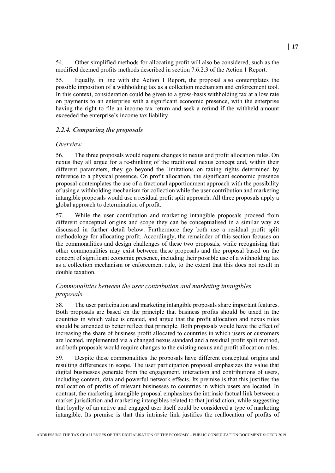54. Other simplified methods for allocating profit will also be considered, such as the modified deemed profits methods described in section 7.6.2.3 of the Action 1 Report.

55. Equally, in line with the Action 1 Report, the proposal also contemplates the possible imposition of a withholding tax as a collection mechanism and enforcement tool. In this context, consideration could be given to a gross-basis withholding tax at a low rate on payments to an enterprise with a significant economic presence, with the enterprise having the right to file an income tax return and seek a refund if the withheld amount exceeded the enterprise's income tax liability.

#### <span id="page-17-0"></span>*2.2.4. Comparing the proposals*

#### *Overview*

56. The three proposals would require changes to nexus and profit allocation rules. On nexus they all argue for a re-thinking of the traditional nexus concept and, within their different parameters, they go beyond the limitations on taxing rights determined by reference to a physical presence. On profit allocation, the significant economic presence proposal contemplates the use of a fractional apportionment approach with the possibility of using a withholding mechanism for collection while the user contribution and marketing intangible proposals would use a residual profit split approach. All three proposals apply a global approach to determination of profit.

57. While the user contribution and marketing intangible proposals proceed from different conceptual origins and scope they can be conceptualised in a similar way as discussed in further detail below. Furthermore they both use a residual profit split methodology for allocating profit. Accordingly, the remainder of this section focuses on the commonalities and design challenges of these two proposals, while recognising that other commonalities may exist between these proposals and the proposal based on the concept of significant economic presence, including their possible use of a withholding tax as a collection mechanism or enforcement rule, to the extent that this does not result in double taxation.

#### *Commonalities between the user contribution and marketing intangibles proposals*

58. The user participation and marketing intangible proposals share important features. Both proposals are based on the principle that business profits should be taxed in the countries in which value is created, and argue that the profit allocation and nexus rules should be amended to better reflect that principle. Both proposals would have the effect of increasing the share of business profit allocated to countries in which users or customers are located, implemented via a changed nexus standard and a residual profit split method, and both proposals would require changes to the existing nexus and profit allocation rules.

59. Despite these commonalities the proposals have different conceptual origins and resulting differences in scope. The user participation proposal emphasizes the value that digital businesses generate from the engagement, interaction and contributions of users, including content, data and powerful network effects. Its premise is that this justifies the reallocation of profits of relevant businesses to countries in which users are located. In contrast, the marketing intangible proposal emphasizes the intrinsic factual link between a market jurisdiction and marketing intangibles related to that jurisdiction, while suggesting that loyalty of an active and engaged user itself could be considered a type of marketing intangible. Its premise is that this intrinsic link justifies the reallocation of profits of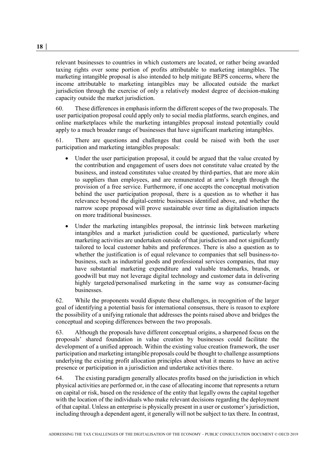relevant businesses to countries in which customers are located, or rather being awarded taxing rights over some portion of profits attributable to marketing intangibles. The marketing intangible proposal is also intended to help mitigate BEPS concerns, where the income attributable to marketing intangibles may be allocated outside the market jurisdiction through the exercise of only a relatively modest degree of decision-making capacity outside the market jurisdiction.

60. These differences in emphasis inform the different scopes of the two proposals. The user participation proposal could apply only to social media platforms, search engines, and online marketplaces while the marketing intangibles proposal instead potentially could apply to a much broader range of businesses that have significant marketing intangibles.

61. There are questions and challenges that could be raised with both the user participation and marketing intangibles proposals:

- Under the user participation proposal, it could be argued that the value created by the contribution and engagement of users does not constitute value created by the business, and instead constitutes value created by third-parties, that are more akin to suppliers than employees, and are remunerated at arm's length through the provision of a free service. Furthermore, if one accepts the conceptual motivation behind the user participation proposal, there is a question as to whether it has relevance beyond the digital-centric businesses identified above, and whether the narrow scope proposed will prove sustainable over time as digitalisation impacts on more traditional businesses.
- Under the marketing intangibles proposal, the intrinsic link between marketing intangibles and a market jurisdiction could be questioned, particularly where marketing activities are undertaken outside of that jurisdiction and not significantly tailored to local customer habits and preferences. There is also a question as to whether the justification is of equal relevance to companies that sell business-tobusiness, such as industrial goods and professional services companies, that may have substantial marketing expenditure and valuable trademarks, brands, or goodwill but may not leverage digital technology and customer data in delivering highly targeted/personalised marketing in the same way as consumer-facing businesses.

62. While the proponents would dispute these challenges, in recognition of the larger goal of identifying a potential basis for international consensus, there is reason to explore the possibility of a unifying rationale that addresses the points raised above and bridges the conceptual and scoping differences between the two proposals.

63. Although the proposals have different conceptual origins, a sharpened focus on the proposals' shared foundation in value creation by businesses could facilitate the development of a unified approach. Within the existing value creation framework, the user participation and marketing intangible proposals could be thought to challenge assumptions underlying the existing profit allocation principles about what it means to have an active presence or participation in a jurisdiction and undertake activities there.

64. The existing paradigm generally allocates profits based on the jurisdiction in which physical activities are performed or, in the case of allocating income that represents a return on capital or risk, based on the residence of the entity that legally owns the capital together with the location of the individuals who make relevant decisions regarding the deployment of that capital. Unless an enterprise is physically present in a user or customer's jurisdiction, including through a dependent agent, it generally will not be subject to tax there. In contrast,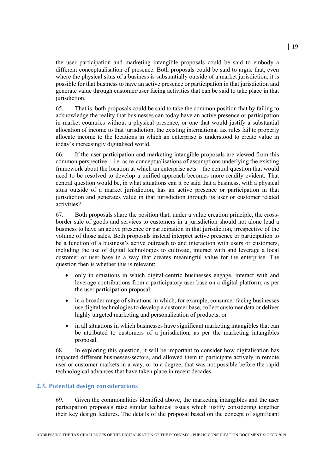the user participation and marketing intangible proposals could be said to embody a different conceptualisation of presence. Both proposals could be said to argue that, even where the physical situs of a business is substantially outside of a market jurisdiction, it is possible for that business to have an active presence or participation in that jurisdiction and generate value through customer/user facing activities that can be said to take place in that jurisdiction.

65. That is, both proposals could be said to take the common position that by failing to acknowledge the reality that businesses can today have an active presence or participation in market countries without a physical presence, or one that would justify a substantial allocation of income to that jurisdiction, the existing international tax rules fail to properly allocate income to the locations in which an enterprise is understood to create value in today's increasingly digitalised world.

66. If the user participation and marketing intangible proposals are viewed from this common perspective  $-$  i.e. as re-conceptualisations of assumptions underlying the existing framework about the location at which an enterprise acts – the central question that would need to be resolved to develop a unified approach becomes more readily evident. That central question would be, in what situations can it be said that a business, with a physical situs outside of a market jurisdiction, has an active presence or participation in that jurisdiction and generates value in that jurisdiction through its user or customer related activities?

67. Both proposals share the position that, under a value creation principle, the crossborder sale of goods and services to customers in a jurisdiction should not alone lead a business to have an active presence or participation in that jurisdiction, irrespective of the volume of those sales. Both proposals instead interpret active presence or participation to be a function of a business's active outreach to and interaction with users or customers, including the use of digital technologies to cultivate, interact with and leverage a local customer or user base in a way that creates meaningful value for the enterprise. The question then is whether this is relevant:

- only in situations in which digital-centric businesses engage, interact with and leverage contributions from a participatory user base on a digital platform, as per the user participation proposal;
- in a broader range of situations in which, for example, consumer facing businesses use digital technologies to develop a customer base, collect customer data or deliver highly targeted marketing and personalization of products; or
- in all situations in which businesses have significant marketing intangibles that can be attributed to customers of a jurisdiction, as per the marketing intangibles proposal.

68. In exploring this question, it will be important to consider how digitalisation has impacted different businesses/sectors, and allowed them to participate actively in remote user or customer markets in a way, or to a degree, that was not possible before the rapid technological advances that have taken place in recent decades.

#### <span id="page-19-0"></span>**2.3. Potential design considerations**

69. Given the commonalities identified above, the marketing intangibles and the user participation proposals raise similar technical issues which justify considering together their key design features. The details of the proposal based on the concept of significant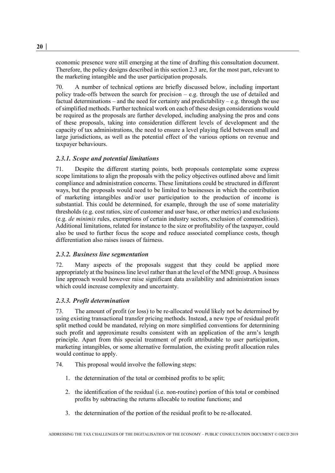economic presence were still emerging at the time of drafting this consultation document. Therefore, the policy designs described in this section [2.3](#page-19-0) are, for the most part, relevant to the marketing intangible and the user participation proposals.

70. A number of technical options are briefly discussed below, including important policy trade-offs between the search for precision – e.g. through the use of detailed and factual determinations – and the need for certainty and predictability – e.g. through the use of simplified methods. Further technical work on each of these design considerations would be required as the proposals are further developed, including analysing the pros and cons of these proposals, taking into consideration different levels of development and the capacity of tax administrations, the need to ensure a level playing field between small and large jurisdictions, as well as the potential effect of the various options on revenue and taxpayer behaviours.

#### <span id="page-20-0"></span>*2.3.1. Scope and potential limitations*

71. Despite the different starting points, both proposals contemplate some express scope limitations to align the proposals with the policy objectives outlined above and limit compliance and administration concerns. These limitations could be structured in different ways, but the proposals would need to be limited to businesses in which the contribution of marketing intangibles and/or user participation to the production of income is substantial. This could be determined, for example, through the use of some materiality thresholds (e.g. cost ratios, size of customer and user base, or other metrics) and exclusions (e.g. *de minimis* rules, exemptions of certain industry sectors, exclusion of commodities). Additional limitations, related for instance to the size or profitability of the taxpayer, could also be used to further focus the scope and reduce associated compliance costs, though differentiation also raises issues of fairness.

#### <span id="page-20-1"></span>*2.3.2. Business line segmentation*

72. Many aspects of the proposals suggest that they could be applied more appropriately at the business line level rather than at the level of the MNE group. A business line approach would however raise significant data availability and administration issues which could increase complexity and uncertainty.

#### <span id="page-20-2"></span>*2.3.3. Profit determination*

73. The amount of profit (or loss) to be re-allocated would likely not be determined by using existing transactional transfer pricing methods. Instead, a new type of residual profit split method could be mandated, relying on more simplified conventions for determining such profit and approximate results consistent with an application of the arm's length principle. Apart from this special treatment of profit attributable to user participation, marketing intangibles, or some alternative formulation, the existing profit allocation rules would continue to apply.

- 74. This proposal would involve the following steps:
	- 1. the determination of the total or combined profits to be split;
	- 2. the identification of the residual (i.e. non-routine) portion of this total or combined profits by subtracting the returns allocable to routine functions; and
	- 3. the determination of the portion of the residual profit to be re-allocated.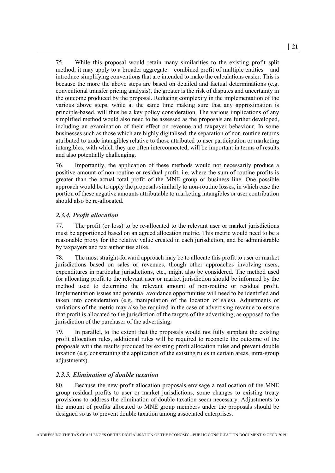75. While this proposal would retain many similarities to the existing profit split method, it may apply to a broader aggregate – combined profit of multiple entities – and introduce simplifying conventions that are intended to make the calculations easier. This is because the more the above steps are based on detailed and factual determinations (e.g. conventional transfer pricing analysis), the greater is the risk of disputes and uncertainty in the outcome produced by the proposal. Reducing complexity in the implementation of the various above steps, while at the same time making sure that any approximation is principle-based, will thus be a key policy consideration. The various implications of any simplified method would also need to be assessed as the proposals are further developed, including an examination of their effect on revenue and taxpayer behaviour. In some businesses such as those which are highly digitalised, the separation of non-routine returns attributed to trade intangibles relative to those attributed to user participation or marketing intangibles, with which they are often interconnected, will be important in terms of results and also potentially challenging.

76. Importantly, the application of these methods would not necessarily produce a positive amount of non-routine or residual profit, i.e. where the sum of routine profits is greater than the actual total profit of the MNE group or business line. One possible approach would be to apply the proposals similarly to non-routine losses, in which case the portion of these negative amounts attributable to marketing intangibles or user contribution should also be re-allocated.

#### <span id="page-21-0"></span>*2.3.4. Profit allocation*

77. The profit (or loss) to be re-allocated to the relevant user or market jurisdictions must be apportioned based on an agreed allocation metric. This metric would need to be a reasonable proxy for the relative value created in each jurisdiction, and be administrable by taxpayers and tax authorities alike.

78. The most straight-forward approach may be to allocate this profit to user or market jurisdictions based on sales or revenues, though other approaches involving users, expenditures in particular jurisdictions, etc., might also be considered. The method used for allocating profit to the relevant user or market jurisdiction should be informed by the method used to determine the relevant amount of non-routine or residual profit. Implementation issues and potential avoidance opportunities will need to be identified and taken into consideration (e.g. manipulation of the location of sales). Adjustments or variations of the metric may also be required in the case of advertising revenue to ensure that profit is allocated to the jurisdiction of the targets of the advertising, as opposed to the jurisdiction of the purchaser of the advertising.

79. In parallel, to the extent that the proposals would not fully supplant the existing profit allocation rules, additional rules will be required to reconcile the outcome of the proposals with the results produced by existing profit allocation rules and prevent double taxation (e.g. constraining the application of the existing rules in certain areas, intra-group adjustments).

#### <span id="page-21-1"></span>*2.3.5. Elimination of double taxation*

80. Because the new profit allocation proposals envisage a reallocation of the MNE group residual profits to user or market jurisdictions, some changes to existing treaty provisions to address the elimination of double taxation seem necessary. Adjustments to the amount of profits allocated to MNE group members under the proposals should be designed so as to prevent double taxation among associated enterprises.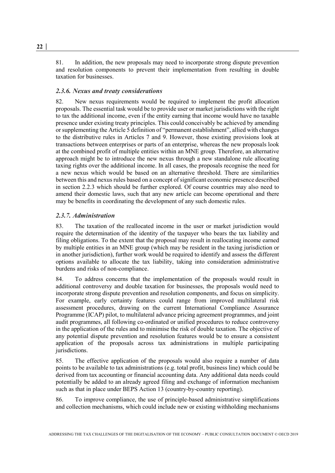81. In addition, the new proposals may need to incorporate strong dispute prevention and resolution components to prevent their implementation from resulting in double taxation for businesses.

#### <span id="page-22-0"></span>*2.3.6. Nexus and treaty considerations*

82. New nexus requirements would be required to implement the profit allocation proposals. The essential task would be to provide user or market jurisdictions with the right to tax the additional income, even if the entity earning that income would have no taxable presence under existing treaty principles. This could conceivably be achieved by amending or supplementing the Article 5 definition of "permanent establishment", allied with changes to the distributive rules in Articles 7 and 9. However, those existing provisions look at transactions between enterprises or parts of an enterprise, whereas the new proposals look at the combined profit of multiple entities within an MNE group. Therefore, an alternative approach might be to introduce the new nexus through a new standalone rule allocating taxing rights over the additional income. In all cases, the proposals recognise the need for a new nexus which would be based on an alternative threshold. There are similarities between this and nexus rules based on a concept of significant economic presence described in section [2.2.3](#page-16-0) which should be further explored. Of course countries may also need to amend their domestic laws, such that any new article can become operational and there may be benefits in coordinating the development of any such domestic rules.

#### <span id="page-22-1"></span>*2.3.7. Administration*

83. The taxation of the reallocated income in the user or market jurisdiction would require the determination of the identity of the taxpayer who bears the tax liability and filing obligations. To the extent that the proposal may result in reallocating income earned by multiple entities in an MNE group (which may be resident in the taxing jurisdiction or in another jurisdiction), further work would be required to identify and assess the different options available to allocate the tax liability, taking into consideration administrative burdens and risks of non-compliance.

84. To address concerns that the implementation of the proposals would result in additional controversy and double taxation for businesses, the proposals would need to incorporate strong dispute prevention and resolution components, and focus on simplicity. For example, early certainty features could range from improved multilateral risk assessment procedures, drawing on the current International Compliance Assurance Programme (ICAP) pilot, to multilateral advance pricing agreement programmes, and joint audit programmes, all following co-ordinated or unified procedures to reduce controversy in the application of the rules and to minimise the risk of double taxation. The objective of any potential dispute prevention and resolution features would be to ensure a consistent application of the proposals across tax administrations in multiple participating jurisdictions.

85. The effective application of the proposals would also require a number of data points to be available to tax administrations (e.g. total profit, business line) which could be derived from tax accounting or financial accounting data. Any additional data needs could potentially be added to an already agreed filing and exchange of information mechanism such as that in place under BEPS Action 13 (country-by-country reporting).

86. To improve compliance, the use of principle-based administrative simplifications and collection mechanisms, which could include new or existing withholding mechanisms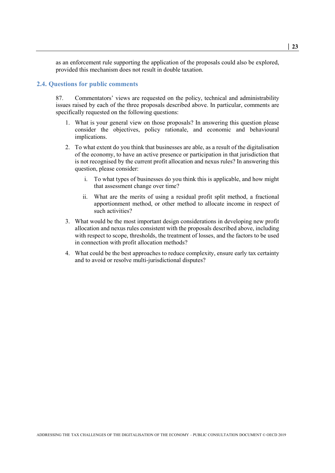as an enforcement rule supporting the application of the proposals could also be explored, provided this mechanism does not result in double taxation.

#### <span id="page-23-0"></span>**2.4. Questions for public comments**

87. Commentators' views are requested on the policy, technical and administrability issues raised by each of the three proposals described above. In particular, comments are specifically requested on the following questions:

- 1. What is your general view on those proposals? In answering this question please consider the objectives, policy rationale, and economic and behavioural implications.
- 2. To what extent do you think that businesses are able, as a result of the digitalisation of the economy, to have an active presence or participation in that jurisdiction that is not recognised by the current profit allocation and nexus rules? In answering this question, please consider:
	- i. To what types of businesses do you think this is applicable, and how might that assessment change over time?
	- ii. What are the merits of using a residual profit split method, a fractional apportionment method, or other method to allocate income in respect of such activities?
- 3. What would be the most important design considerations in developing new profit allocation and nexus rules consistent with the proposals described above, including with respect to scope, thresholds, the treatment of losses, and the factors to be used in connection with profit allocation methods?
- 4. What could be the best approaches to reduce complexity, ensure early tax certainty and to avoid or resolve multi-jurisdictional disputes?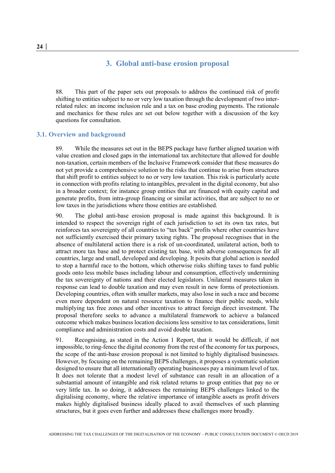#### **3. Global anti-base erosion proposal**

<span id="page-24-0"></span>88. This part of the paper sets out proposals to address the continued risk of profit shifting to entities subject to no or very low taxation through the development of two interrelated rules: an income inclusion rule and a tax on base eroding payments. The rationale and mechanics for these rules are set out below together with a discussion of the key questions for consultation.

#### <span id="page-24-1"></span>**3.1. Overview and background**

89. While the measures set out in the BEPS package have further aligned taxation with value creation and closed gaps in the international tax architecture that allowed for double non-taxation, certain members of the Inclusive Framework consider that these measures do not yet provide a comprehensive solution to the risks that continue to arise from structures that shift profit to entities subject to no or very low taxation. This risk is particularly acute in connection with profits relating to intangibles, prevalent in the digital economy, but also in a broader context; for instance group entities that are financed with equity capital and generate profits, from intra-group financing or similar activities, that are subject to no or low taxes in the jurisdictions where those entities are established.

90. The global anti-base erosion proposal is made against this background. It is intended to respect the sovereign right of each jurisdiction to set its own tax rates, but reinforces tax sovereignty of all countries to "tax back" profits where other countries have not sufficiently exercised their primary taxing rights. The proposal recognises that in the absence of multilateral action there is a risk of un-coordinated, unilateral action, both to attract more tax base and to protect existing tax base, with adverse consequences for all countries, large and small, developed and developing. It posits that global action is needed to stop a harmful race to the bottom, which otherwise risks shifting taxes to fund public goods onto less mobile bases including labour and consumption, effectively undermining the tax sovereignty of nations and their elected legislators. Unilateral measures taken in response can lead to double taxation and may even result in new forms of protectionism. Developing countries, often with smaller markets, may also lose in such a race and become even more dependent on natural resource taxation to finance their public needs, while multiplying tax free zones and other incentives to attract foreign direct investment. The proposal therefore seeks to advance a multilateral framework to achieve a balanced outcome which makes business location decisions less sensitive to tax considerations, limit compliance and administration costs and avoid double taxation.

91. Recognising, as stated in the Action 1 Report, that it would be difficult, if not impossible, to ring-fence the digital economy from the rest of the economy for tax purposes, the scope of the anti-base erosion proposal is not limited to highly digitalised businesses. However, by focusing on the remaining BEPS challenges, it proposes a systematic solution designed to ensure that all internationally operating businesses pay a minimum level of tax. It does not tolerate that a modest level of substance can result in an allocation of a substantial amount of intangible and risk related returns to group entities that pay no or very little tax. In so doing, it addressees the remaining BEPS challenges linked to the digitalising economy, where the relative importance of intangible assets as profit drivers makes highly digitalised business ideally placed to avail themselves of such planning structures, but it goes even further and addresses these challenges more broadly.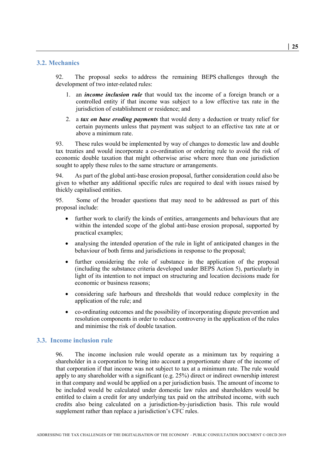#### <span id="page-25-0"></span>**3.2. Mechanics**

92. The proposal seeks to address the remaining BEPS challenges through the development of two inter-related rules:

- 1. an *income inclusion rule* that would tax the income of a foreign branch or a controlled entity if that income was subject to a low effective tax rate in the jurisdiction of establishment or residence; and
- 2. a *tax on base eroding payments* that would deny a deduction or treaty relief for certain payments unless that payment was subject to an effective tax rate at or above a minimum rate.

93. These rules would be implemented by way of changes to domestic law and double tax treaties and would incorporate a co-ordination or ordering rule to avoid the risk of economic double taxation that might otherwise arise where more than one jurisdiction sought to apply these rules to the same structure or arrangements.

94. As part of the global anti-base erosion proposal, further consideration could also be given to whether any additional specific rules are required to deal with issues raised by thickly capitalised entities.

95. Some of the broader questions that may need to be addressed as part of this proposal include:

- further work to clarify the kinds of entities, arrangements and behaviours that are within the intended scope of the global anti-base erosion proposal, supported by practical examples;
- analysing the intended operation of the rule in light of anticipated changes in the behaviour of both firms and jurisdictions in response to the proposal;
- further considering the role of substance in the application of the proposal (including the substance criteria developed under BEPS Action 5), particularly in light of its intention to not impact on structuring and location decisions made for economic or business reasons;
- considering safe harbours and thresholds that would reduce complexity in the application of the rule; and
- co-ordinating outcomes and the possibility of incorporating dispute prevention and resolution components in order to reduce controversy in the application of the rules and minimise the risk of double taxation.

#### <span id="page-25-1"></span>**3.3. Income inclusion rule**

96. The income inclusion rule would operate as a minimum tax by requiring a shareholder in a corporation to bring into account a proportionate share of the income of that corporation if that income was not subject to tax at a minimum rate. The rule would apply to any shareholder with a significant (e.g. 25%) direct or indirect ownership interest in that company and would be applied on a per jurisdiction basis. The amount of income to be included would be calculated under domestic law rules and shareholders would be entitled to claim a credit for any underlying tax paid on the attributed income, with such credits also being calculated on a jurisdiction-by-jurisdiction basis. This rule would supplement rather than replace a jurisdiction's CFC rules.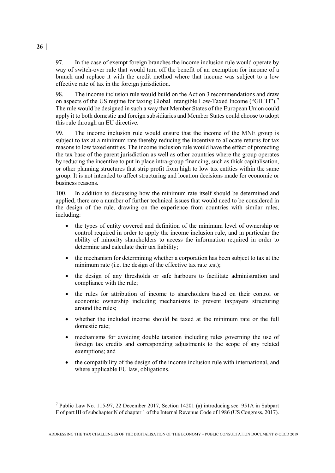97. In the case of exempt foreign branches the income inclusion rule would operate by way of switch-over rule that would turn off the benefit of an exemption for income of a branch and replace it with the credit method where that income was subject to a low effective rate of tax in the foreign jurisdiction.

98. The income inclusion rule would build on the Action 3 recommendations and draw on aspects of the US regime for taxing Global Intangible Low-Taxed Income ("GILTI").<sup>[7](#page-26-0)</sup> The rule would be designed in such a way that Member States of the European Union could apply it to both domestic and foreign subsidiaries and Member States could choose to adopt this rule through an EU directive.

99. The income inclusion rule would ensure that the income of the MNE group is subject to tax at a minimum rate thereby reducing the incentive to allocate returns for tax reasons to low taxed entities. The income inclusion rule would have the effect of protecting the tax base of the parent jurisdiction as well as other countries where the group operates by reducing the incentive to put in place intra-group financing, such as thick capitalisation, or other planning structures that strip profit from high to low tax entities within the same group. It is not intended to affect structuring and location decisions made for economic or business reasons.

<span id="page-26-1"></span>100. In addition to discussing how the minimum rate itself should be determined and applied, there are a number of further technical issues that would need to be considered in the design of the rule, drawing on the experience from countries with similar rules, including:

- the types of entity covered and definition of the minimum level of ownership or control required in order to apply the income inclusion rule, and in particular the ability of minority shareholders to access the information required in order to determine and calculate their tax liability;
- the mechanism for determining whether a corporation has been subject to tax at the minimum rate (i.e. the design of the effective tax rate test);
- the design of any thresholds or safe harbours to facilitate administration and compliance with the rule;
- the rules for attribution of income to shareholders based on their control or economic ownership including mechanisms to prevent taxpayers structuring around the rules;
- whether the included income should be taxed at the minimum rate or the full domestic rate;
- mechanisms for avoiding double taxation including rules governing the use of foreign tax credits and corresponding adjustments to the scope of any related exemptions; and
- the compatibility of the design of the income inclusion rule with international, and where applicable EU law, obligations.

<span id="page-26-0"></span><sup>&</sup>lt;sup>7</sup> Public Law No. 115-97, 22 December 2017, Section 14201 (a) introducing sec. 951A in Subpart F of part III of subchapter N of chapter 1 of the Internal Revenue Code of 1986 (US Congress, 2017).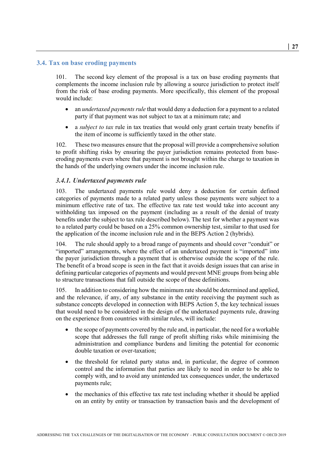#### <span id="page-27-0"></span>**3.4. Tax on base eroding payments**

101. The second key element of the proposal is a tax on base eroding payments that complements the income inclusion rule by allowing a source jurisdiction to protect itself from the risk of base eroding payments. More specifically, this element of the proposal would include:

- an *undertaxed payments rule* that would deny a deduction for a payment to a related party if that payment was not subject to tax at a minimum rate; and
- a *subject to tax* rule in tax treaties that would only grant certain treaty benefits if the item of income is sufficiently taxed in the other state.

102. These two measures ensure that the proposal will provide a comprehensive solution to profit shifting risks by ensuring the payer jurisdiction remains protected from baseeroding payments even where that payment is not brought within the charge to taxation in the hands of the underlying owners under the income inclusion rule.

#### <span id="page-27-1"></span>*3.4.1. Undertaxed payments rule*

103. The undertaxed payments rule would deny a deduction for certain defined categories of payments made to a related party unless those payments were subject to a minimum effective rate of tax. The effective tax rate test would take into account any withholding tax imposed on the payment (including as a result of the denial of treaty benefits under the subject to tax rule described below). The test for whether a payment was to a related party could be based on a 25% common ownership test, similar to that used for the application of the income inclusion rule and in the BEPS Action 2 (hybrids).

104. The rule should apply to a broad range of payments and should cover "conduit" or "imported" arrangements, where the effect of an undertaxed payment is "imported" into the payer jurisdiction through a payment that is otherwise outside the scope of the rule. The benefit of a broad scope is seen in the fact that it avoids design issues that can arise in defining particular categories of payments and would prevent MNE groups from being able to structure transactions that fall outside the scope of these definitions.

<span id="page-27-2"></span>105. In addition to considering how the minimum rate should be determined and applied, and the relevance, if any, of any substance in the entity receiving the payment such as substance concepts developed in connection with BEPS Action 5, the key technical issues that would need to be considered in the design of the undertaxed payments rule, drawing on the experience from countries with similar rules, will include:

- the scope of payments covered by the rule and, in particular, the need for a workable scope that addresses the full range of profit shifting risks while minimising the administration and compliance burdens and limiting the potential for economic double taxation or over-taxation;
- the threshold for related party status and, in particular, the degree of common control and the information that parties are likely to need in order to be able to comply with, and to avoid any unintended tax consequences under, the undertaxed payments rule;
- the mechanics of this effective tax rate test including whether it should be applied on an entity by entity or transaction by transaction basis and the development of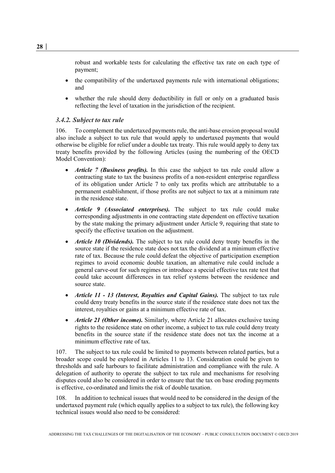robust and workable tests for calculating the effective tax rate on each type of payment;

- the compatibility of the undertaxed payments rule with international obligations; and
- whether the rule should deny deductibility in full or only on a graduated basis reflecting the level of taxation in the jurisdiction of the recipient.

#### <span id="page-28-0"></span>*3.4.2. Subject to tax rule*

106. To complement the undertaxed payments rule, the anti-base erosion proposal would also include a subject to tax rule that would apply to undertaxed payments that would otherwise be eligible for relief under a double tax treaty. This rule would apply to deny tax treaty benefits provided by the following Articles (using the numbering of the OECD Model Convention):

- *Article 7 (Business profits).* In this case the subject to tax rule could allow a contracting state to tax the business profits of a non-resident enterprise regardless of its obligation under Article 7 to only tax profits which are attributable to a permanent establishment, if those profits are not subject to tax at a minimum rate in the residence state.
- *Article 9 (Associated enterprises).* The subject to tax rule could make corresponding adjustments in one contracting state dependent on effective taxation by the state making the primary adjustment under Article 9, requiring that state to specify the effective taxation on the adjustment.
- *Article 10 (Dividends).* The subject to tax rule could deny treaty benefits in the source state if the residence state does not tax the dividend at a minimum effective rate of tax. Because the rule could defeat the objective of participation exemption regimes to avoid economic double taxation, an alternative rule could include a general carve-out for such regimes or introduce a special effective tax rate test that could take account differences in tax relief systems between the residence and source state.
- *Article 11 - 13 (Interest, Royalties and Capital Gains).* The subject to tax rule could deny treaty benefits in the source state if the residence state does not tax the interest, royalties or gains at a minimum effective rate of tax.
- *Article 21 (Other income).* Similarly, where Article 21 allocates exclusive taxing rights to the residence state on other income, a subject to tax rule could deny treaty benefits in the source state if the residence state does not tax the income at a minimum effective rate of tax.

107. The subject to tax rule could be limited to payments between related parties, but a broader scope could be explored in Articles 11 to 13. Consideration could be given to thresholds and safe harbours to facilitate administration and compliance with the rule. A delegation of authority to operate the subject to tax rule and mechanisms for resolving disputes could also be considered in order to ensure that the tax on base eroding payments is effective, co-ordinated and limits the risk of double taxation.

108. In addition to technical issues that would need to be considered in the design of the undertaxed payment rule (which equally applies to a subject to tax rule), the following key technical issues would also need to be considered: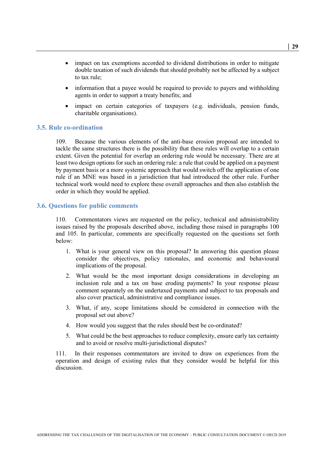- impact on tax exemptions accorded to dividend distributions in order to mitigate double taxation of such dividends that should probably not be affected by a subject to tax rule;
- information that a payee would be required to provide to payers and withholding agents in order to support a treaty benefits; and
- impact on certain categories of taxpayers (e.g. individuals, pension funds, charitable organisations).

#### <span id="page-29-0"></span>**3.5. Rule co-ordination**

109. Because the various elements of the anti-base erosion proposal are intended to tackle the same structures there is the possibility that these rules will overlap to a certain extent. Given the potential for overlap an ordering rule would be necessary. There are at least two design options for such an ordering rule: a rule that could be applied on a payment by payment basis or a more systemic approach that would switch off the application of one rule if an MNE was based in a jurisdiction that had introduced the other rule. Further technical work would need to explore these overall approaches and then also establish the order in which they would be applied.

#### <span id="page-29-1"></span>**3.6. Questions for public comments**

110. Commentators views are requested on the policy, technical and administrability issues raised by the proposals described above, including those raised in paragraphs [100](#page-26-1) and [105.](#page-27-2) In particular, comments are specifically requested on the questions set forth below:

- 1. What is your general view on this proposal? In answering this question please consider the objectives, policy rationales, and economic and behavioural implications of the proposal.
- 2. What would be the most important design considerations in developing an inclusion rule and a tax on base eroding payments? In your response please comment separately on the undertaxed payments and subject to tax proposals and also cover practical, administrative and compliance issues.
- 3. What, if any, scope limitations should be considered in connection with the proposal set out above?
- 4. How would you suggest that the rules should best be co-ordinated?
- 5. What could be the best approaches to reduce complexity, ensure early tax certainty and to avoid or resolve multi-jurisdictional disputes?

111. In their responses commentators are invited to draw on experiences from the operation and design of existing rules that they consider would be helpful for this discussion.